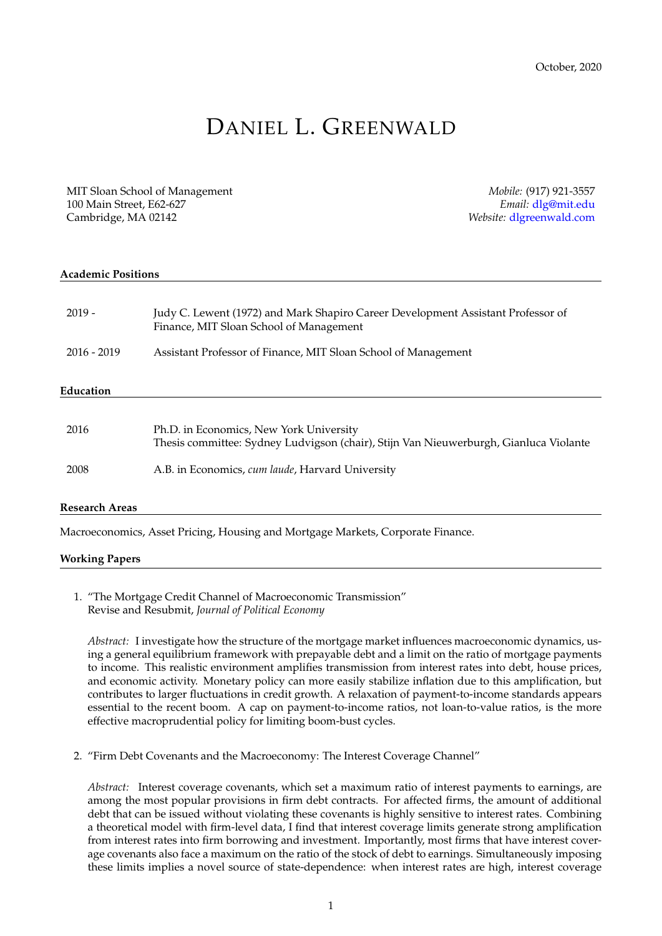# DANIEL L. GREENWALD

MIT Sloan School of Management *Mobile:* (917) 921-3557 100 Main Street, E62-627 *Email:* [dlg@mit.edu](mailto:dlg@mit.edu) Cambridge, MA 02142 *Website:* [dlgreenwald.com](http://dlgreenwald.com)

| <b>Academic Positions</b> |                                                                                                                                  |  |
|---------------------------|----------------------------------------------------------------------------------------------------------------------------------|--|
| $2019 -$                  | Judy C. Lewent (1972) and Mark Shapiro Career Development Assistant Professor of<br>Finance, MIT Sloan School of Management      |  |
| $2016 - 2019$             | Assistant Professor of Finance, MIT Sloan School of Management                                                                   |  |
| Education                 |                                                                                                                                  |  |
| 2016                      | Ph.D. in Economics, New York University<br>Thesis committee: Sydney Ludvigson (chair), Stijn Van Nieuwerburgh, Gianluca Violante |  |
| 2008                      | A.B. in Economics, cum laude, Harvard University                                                                                 |  |
| <b>Research Areas</b>     |                                                                                                                                  |  |

Macroeconomics, Asset Pricing, Housing and Mortgage Markets, Corporate Finance.

#### **Working Papers**

1. "The Mortgage Credit Channel of Macroeconomic Transmission" Revise and Resubmit, *Journal of Political Economy*

*Abstract:* I investigate how the structure of the mortgage market influences macroeconomic dynamics, using a general equilibrium framework with prepayable debt and a limit on the ratio of mortgage payments to income. This realistic environment amplifies transmission from interest rates into debt, house prices, and economic activity. Monetary policy can more easily stabilize inflation due to this amplification, but contributes to larger fluctuations in credit growth. A relaxation of payment-to-income standards appears essential to the recent boom. A cap on payment-to-income ratios, not loan-to-value ratios, is the more effective macroprudential policy for limiting boom-bust cycles.

2. "Firm Debt Covenants and the Macroeconomy: The Interest Coverage Channel"

*Abstract:* Interest coverage covenants, which set a maximum ratio of interest payments to earnings, are among the most popular provisions in firm debt contracts. For affected firms, the amount of additional debt that can be issued without violating these covenants is highly sensitive to interest rates. Combining a theoretical model with firm-level data, I find that interest coverage limits generate strong amplification from interest rates into firm borrowing and investment. Importantly, most firms that have interest coverage covenants also face a maximum on the ratio of the stock of debt to earnings. Simultaneously imposing these limits implies a novel source of state-dependence: when interest rates are high, interest coverage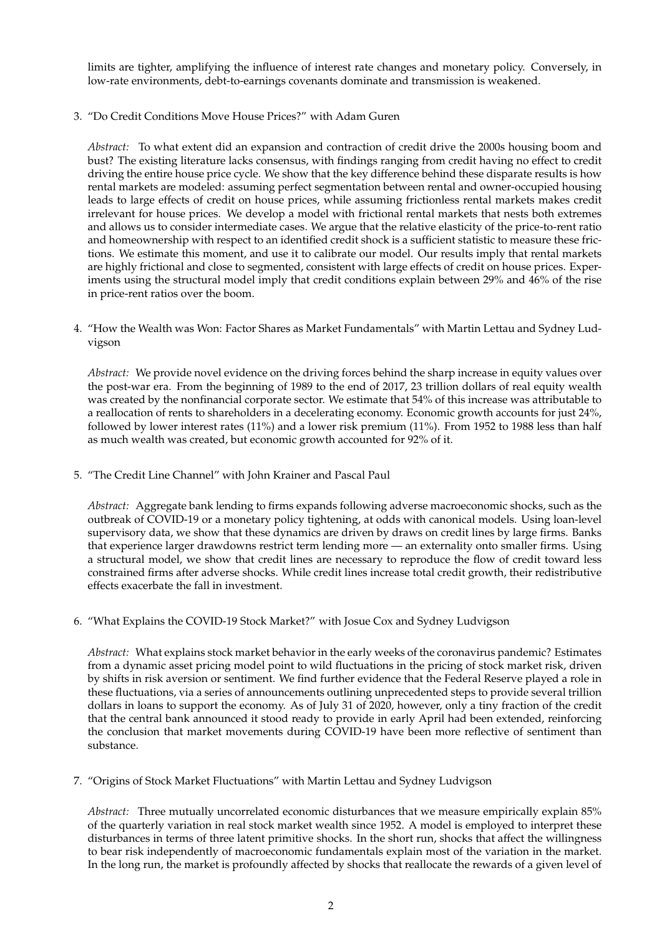limits are tighter, amplifying the influence of interest rate changes and monetary policy. Conversely, in low-rate environments, debt-to-earnings covenants dominate and transmission is weakened.

3. "Do Credit Conditions Move House Prices?" with Adam Guren

*Abstract:* To what extent did an expansion and contraction of credit drive the 2000s housing boom and bust? The existing literature lacks consensus, with findings ranging from credit having no effect to credit driving the entire house price cycle. We show that the key difference behind these disparate results is how rental markets are modeled: assuming perfect segmentation between rental and owner-occupied housing leads to large effects of credit on house prices, while assuming frictionless rental markets makes credit irrelevant for house prices. We develop a model with frictional rental markets that nests both extremes and allows us to consider intermediate cases. We argue that the relative elasticity of the price-to-rent ratio and homeownership with respect to an identified credit shock is a sufficient statistic to measure these frictions. We estimate this moment, and use it to calibrate our model. Our results imply that rental markets are highly frictional and close to segmented, consistent with large effects of credit on house prices. Experiments using the structural model imply that credit conditions explain between 29% and 46% of the rise in price-rent ratios over the boom.

4. "How the Wealth was Won: Factor Shares as Market Fundamentals" with Martin Lettau and Sydney Ludvigson

*Abstract:* We provide novel evidence on the driving forces behind the sharp increase in equity values over the post-war era. From the beginning of 1989 to the end of 2017, 23 trillion dollars of real equity wealth was created by the nonfinancial corporate sector. We estimate that 54% of this increase was attributable to a reallocation of rents to shareholders in a decelerating economy. Economic growth accounts for just 24%, followed by lower interest rates (11%) and a lower risk premium (11%). From 1952 to 1988 less than half as much wealth was created, but economic growth accounted for 92% of it.

5. "The Credit Line Channel" with John Krainer and Pascal Paul

*Abstract:* Aggregate bank lending to firms expands following adverse macroeconomic shocks, such as the outbreak of COVID-19 or a monetary policy tightening, at odds with canonical models. Using loan-level supervisory data, we show that these dynamics are driven by draws on credit lines by large firms. Banks that experience larger drawdowns restrict term lending more — an externality onto smaller firms. Using a structural model, we show that credit lines are necessary to reproduce the flow of credit toward less constrained firms after adverse shocks. While credit lines increase total credit growth, their redistributive effects exacerbate the fall in investment.

6. "What Explains the COVID-19 Stock Market?" with Josue Cox and Sydney Ludvigson

*Abstract:* What explains stock market behavior in the early weeks of the coronavirus pandemic? Estimates from a dynamic asset pricing model point to wild fluctuations in the pricing of stock market risk, driven by shifts in risk aversion or sentiment. We find further evidence that the Federal Reserve played a role in these fluctuations, via a series of announcements outlining unprecedented steps to provide several trillion dollars in loans to support the economy. As of July 31 of 2020, however, only a tiny fraction of the credit that the central bank announced it stood ready to provide in early April had been extended, reinforcing the conclusion that market movements during COVID-19 have been more reflective of sentiment than substance.

7. "Origins of Stock Market Fluctuations" with Martin Lettau and Sydney Ludvigson

*Abstract:* Three mutually uncorrelated economic disturbances that we measure empirically explain 85% of the quarterly variation in real stock market wealth since 1952. A model is employed to interpret these disturbances in terms of three latent primitive shocks. In the short run, shocks that affect the willingness to bear risk independently of macroeconomic fundamentals explain most of the variation in the market. In the long run, the market is profoundly affected by shocks that reallocate the rewards of a given level of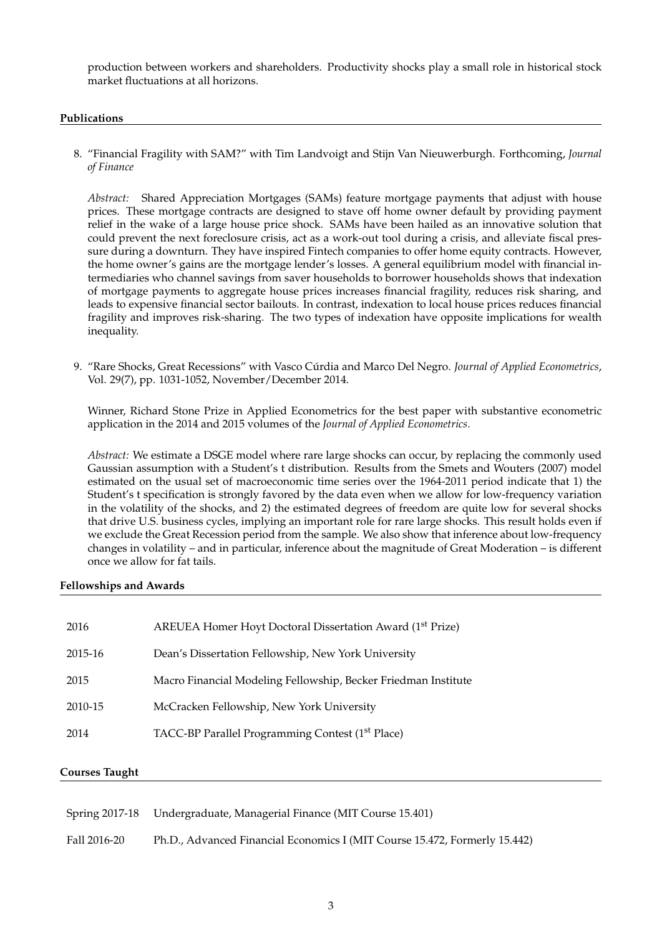production between workers and shareholders. Productivity shocks play a small role in historical stock market fluctuations at all horizons.

#### **Publications**

8. "Financial Fragility with SAM?" with Tim Landvoigt and Stijn Van Nieuwerburgh. Forthcoming, *Journal of Finance*

*Abstract:* Shared Appreciation Mortgages (SAMs) feature mortgage payments that adjust with house prices. These mortgage contracts are designed to stave off home owner default by providing payment relief in the wake of a large house price shock. SAMs have been hailed as an innovative solution that could prevent the next foreclosure crisis, act as a work-out tool during a crisis, and alleviate fiscal pressure during a downturn. They have inspired Fintech companies to offer home equity contracts. However, the home owner's gains are the mortgage lender's losses. A general equilibrium model with financial intermediaries who channel savings from saver households to borrower households shows that indexation of mortgage payments to aggregate house prices increases financial fragility, reduces risk sharing, and leads to expensive financial sector bailouts. In contrast, indexation to local house prices reduces financial fragility and improves risk-sharing. The two types of indexation have opposite implications for wealth inequality.

9. "Rare Shocks, Great Recessions" with Vasco Cúrdia and Marco Del Negro. Journal of Applied Econometrics, Vol. 29(7), pp. 1031-1052, November/December 2014.

Winner, Richard Stone Prize in Applied Econometrics for the best paper with substantive econometric application in the 2014 and 2015 volumes of the *Journal of Applied Econometrics*.

*Abstract:* We estimate a DSGE model where rare large shocks can occur, by replacing the commonly used Gaussian assumption with a Student's t distribution. Results from the Smets and Wouters (2007) model estimated on the usual set of macroeconomic time series over the 1964-2011 period indicate that 1) the Student's t specification is strongly favored by the data even when we allow for low-frequency variation in the volatility of the shocks, and 2) the estimated degrees of freedom are quite low for several shocks that drive U.S. business cycles, implying an important role for rare large shocks. This result holds even if we exclude the Great Recession period from the sample. We also show that inference about low-frequency changes in volatility – and in particular, inference about the magnitude of Great Moderation – is different once we allow for fat tails.

### **Fellowships and Awards**

| 2016    | AREUEA Homer Hoyt Doctoral Dissertation Award (1 <sup>st</sup> Prize) |
|---------|-----------------------------------------------------------------------|
| 2015-16 | Dean's Dissertation Fellowship, New York University                   |
| 2015    | Macro Financial Modeling Fellowship, Becker Friedman Institute        |
| 2010-15 | McCracken Fellowship, New York University                             |
| 2014    | TACC-BP Parallel Programming Contest (1 <sup>st</sup> Place)          |
|         |                                                                       |

### **Courses Taught**

|              | Spring 2017-18 Undergraduate, Managerial Finance (MIT Course 15.401)       |
|--------------|----------------------------------------------------------------------------|
| Fall 2016-20 | Ph.D., Advanced Financial Economics I (MIT Course 15.472, Formerly 15.442) |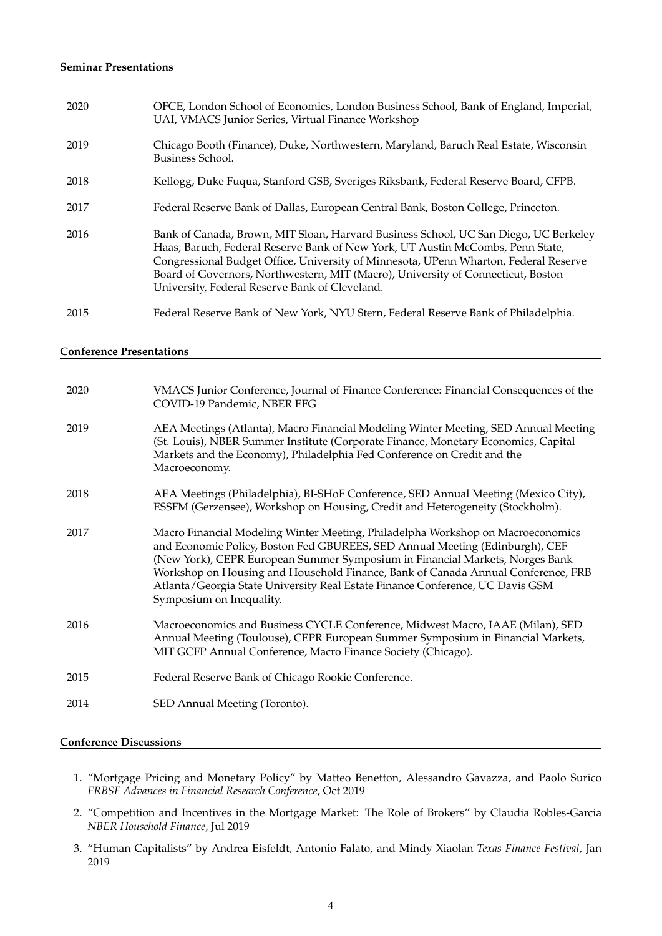| 2020 | OFCE, London School of Economics, London Business School, Bank of England, Imperial,<br>UAI, VMACS Junior Series, Virtual Finance Workshop                                                                                                                                                                                                                                                           |
|------|------------------------------------------------------------------------------------------------------------------------------------------------------------------------------------------------------------------------------------------------------------------------------------------------------------------------------------------------------------------------------------------------------|
| 2019 | Chicago Booth (Finance), Duke, Northwestern, Maryland, Baruch Real Estate, Wisconsin<br>Business School.                                                                                                                                                                                                                                                                                             |
| 2018 | Kellogg, Duke Fuqua, Stanford GSB, Sveriges Riksbank, Federal Reserve Board, CFPB.                                                                                                                                                                                                                                                                                                                   |
| 2017 | Federal Reserve Bank of Dallas, European Central Bank, Boston College, Princeton.                                                                                                                                                                                                                                                                                                                    |
| 2016 | Bank of Canada, Brown, MIT Sloan, Harvard Business School, UC San Diego, UC Berkeley<br>Haas, Baruch, Federal Reserve Bank of New York, UT Austin McCombs, Penn State,<br>Congressional Budget Office, University of Minnesota, UPenn Wharton, Federal Reserve<br>Board of Governors, Northwestern, MIT (Macro), University of Connecticut, Boston<br>University, Federal Reserve Bank of Cleveland. |
| 2015 | Federal Reserve Bank of New York, NYU Stern, Federal Reserve Bank of Philadelphia.                                                                                                                                                                                                                                                                                                                   |

#### **Conference Presentations**

| 2020 | VMACS Junior Conference, Journal of Finance Conference: Financial Consequences of the<br>COVID-19 Pandemic, NBER EFG                                                                                                                                                                                                                                                                                                                             |
|------|--------------------------------------------------------------------------------------------------------------------------------------------------------------------------------------------------------------------------------------------------------------------------------------------------------------------------------------------------------------------------------------------------------------------------------------------------|
| 2019 | AEA Meetings (Atlanta), Macro Financial Modeling Winter Meeting, SED Annual Meeting<br>(St. Louis), NBER Summer Institute (Corporate Finance, Monetary Economics, Capital<br>Markets and the Economy), Philadelphia Fed Conference on Credit and the<br>Macroeconomy.                                                                                                                                                                            |
| 2018 | AEA Meetings (Philadelphia), BI-SHoF Conference, SED Annual Meeting (Mexico City),<br>ESSFM (Gerzensee), Workshop on Housing, Credit and Heterogeneity (Stockholm).                                                                                                                                                                                                                                                                              |
| 2017 | Macro Financial Modeling Winter Meeting, Philadelpha Workshop on Macroeconomics<br>and Economic Policy, Boston Fed GBUREES, SED Annual Meeting (Edinburgh), CEF<br>(New York), CEPR European Summer Symposium in Financial Markets, Norges Bank<br>Workshop on Housing and Household Finance, Bank of Canada Annual Conference, FRB<br>Atlanta/Georgia State University Real Estate Finance Conference, UC Davis GSM<br>Symposium on Inequality. |
| 2016 | Macroeconomics and Business CYCLE Conference, Midwest Macro, IAAE (Milan), SED<br>Annual Meeting (Toulouse), CEPR European Summer Symposium in Financial Markets,<br>MIT GCFP Annual Conference, Macro Finance Society (Chicago).                                                                                                                                                                                                                |
| 2015 | Federal Reserve Bank of Chicago Rookie Conference.                                                                                                                                                                                                                                                                                                                                                                                               |
| 2014 | SED Annual Meeting (Toronto).                                                                                                                                                                                                                                                                                                                                                                                                                    |
|      |                                                                                                                                                                                                                                                                                                                                                                                                                                                  |

## **Conference Discussions**

- 1. "Mortgage Pricing and Monetary Policy" by Matteo Benetton, Alessandro Gavazza, and Paolo Surico *FRBSF Advances in Financial Research Conference*, Oct 2019
- 2. "Competition and Incentives in the Mortgage Market: The Role of Brokers" by Claudia Robles-Garcia *NBER Household Finance*, Jul 2019
- 3. "Human Capitalists" by Andrea Eisfeldt, Antonio Falato, and Mindy Xiaolan *Texas Finance Festival*, Jan 2019